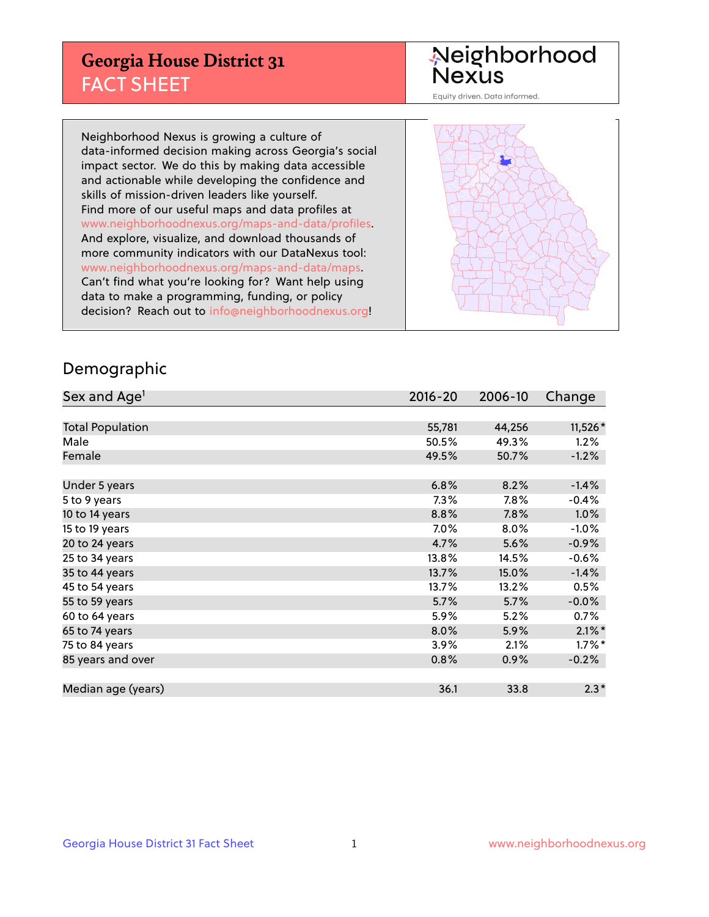## **Georgia House District 31** FACT SHEET

# Neighborhood<br>Nexus

Equity driven. Data informed.

Neighborhood Nexus is growing a culture of data-informed decision making across Georgia's social impact sector. We do this by making data accessible and actionable while developing the confidence and skills of mission-driven leaders like yourself. Find more of our useful maps and data profiles at www.neighborhoodnexus.org/maps-and-data/profiles. And explore, visualize, and download thousands of more community indicators with our DataNexus tool: www.neighborhoodnexus.org/maps-and-data/maps. Can't find what you're looking for? Want help using data to make a programming, funding, or policy decision? Reach out to [info@neighborhoodnexus.org!](mailto:info@neighborhoodnexus.org)



### Demographic

| Sex and Age <sup>1</sup> | $2016 - 20$ | 2006-10 | Change    |
|--------------------------|-------------|---------|-----------|
|                          |             |         |           |
| <b>Total Population</b>  | 55,781      | 44,256  | 11,526*   |
| Male                     | 50.5%       | 49.3%   | 1.2%      |
| Female                   | 49.5%       | 50.7%   | $-1.2%$   |
|                          |             |         |           |
| Under 5 years            | 6.8%        | 8.2%    | $-1.4%$   |
| 5 to 9 years             | $7.3\%$     | 7.8%    | $-0.4%$   |
| 10 to 14 years           | 8.8%        | 7.8%    | 1.0%      |
| 15 to 19 years           | 7.0%        | 8.0%    | $-1.0%$   |
| 20 to 24 years           | 4.7%        | 5.6%    | $-0.9%$   |
| 25 to 34 years           | 13.8%       | 14.5%   | $-0.6%$   |
| 35 to 44 years           | 13.7%       | 15.0%   | $-1.4%$   |
| 45 to 54 years           | 13.7%       | 13.2%   | 0.5%      |
| 55 to 59 years           | 5.7%        | 5.7%    | $-0.0%$   |
| 60 to 64 years           | 5.9%        | 5.2%    | 0.7%      |
| 65 to 74 years           | 8.0%        | 5.9%    | $2.1\%$ * |
| 75 to 84 years           | 3.9%        | 2.1%    | $1.7\%$ * |
| 85 years and over        | 0.8%        | 0.9%    | $-0.2%$   |
|                          |             |         |           |
| Median age (years)       | 36.1        | 33.8    | $2.3*$    |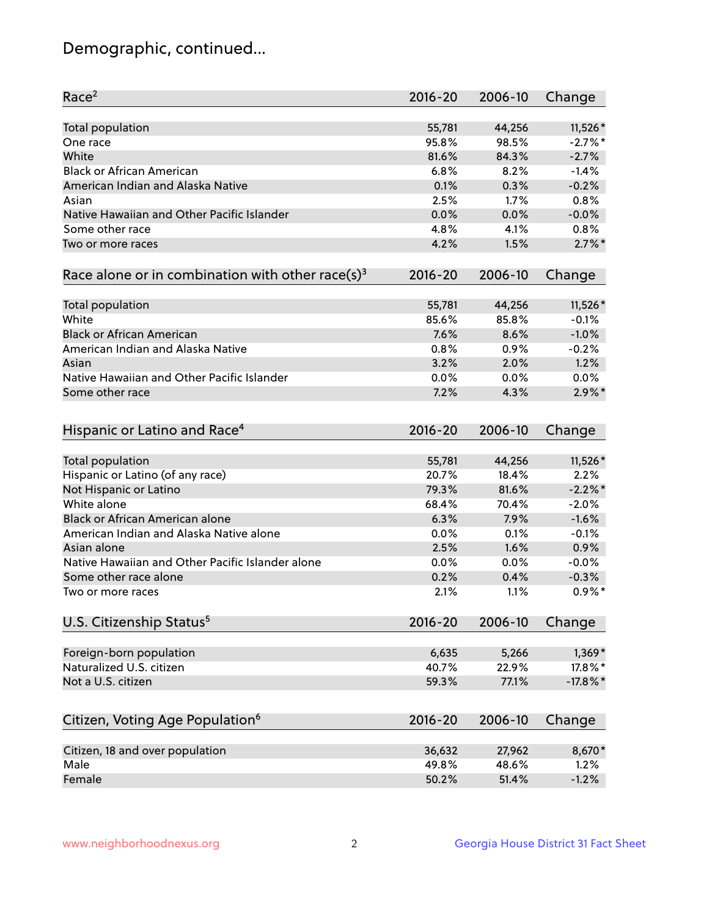## Demographic, continued...

| Race <sup>2</sup>                                            | $2016 - 20$ | 2006-10 | Change      |
|--------------------------------------------------------------|-------------|---------|-------------|
| <b>Total population</b>                                      | 55,781      | 44,256  | 11,526 *    |
| One race                                                     | 95.8%       | 98.5%   | $-2.7%$ *   |
| White                                                        | 81.6%       | 84.3%   | $-2.7%$     |
| <b>Black or African American</b>                             | 6.8%        | 8.2%    | $-1.4%$     |
| American Indian and Alaska Native                            | 0.1%        | 0.3%    | $-0.2%$     |
| Asian                                                        | 2.5%        | 1.7%    | 0.8%        |
| Native Hawaiian and Other Pacific Islander                   | 0.0%        | 0.0%    | $-0.0%$     |
| Some other race                                              | 4.8%        | 4.1%    | 0.8%        |
| Two or more races                                            | 4.2%        | 1.5%    | $2.7\%$ *   |
| Race alone or in combination with other race(s) <sup>3</sup> | $2016 - 20$ | 2006-10 | Change      |
|                                                              |             |         |             |
| Total population                                             | 55,781      | 44,256  | 11,526 *    |
| White                                                        | 85.6%       | 85.8%   | $-0.1%$     |
| <b>Black or African American</b>                             | 7.6%        | 8.6%    | $-1.0%$     |
| American Indian and Alaska Native                            | 0.8%        | 0.9%    | $-0.2%$     |
| Asian                                                        | 3.2%        | 2.0%    | 1.2%        |
| Native Hawaiian and Other Pacific Islander                   | 0.0%        | 0.0%    | 0.0%        |
| Some other race                                              | 7.2%        | 4.3%    | $2.9\%$ *   |
| Hispanic or Latino and Race <sup>4</sup>                     | $2016 - 20$ | 2006-10 | Change      |
|                                                              |             |         |             |
| <b>Total population</b>                                      | 55,781      | 44,256  | 11,526 *    |
| Hispanic or Latino (of any race)                             | 20.7%       | 18.4%   | 2.2%        |
| Not Hispanic or Latino                                       | 79.3%       | 81.6%   | $-2.2%$     |
| White alone                                                  | 68.4%       | 70.4%   | $-2.0%$     |
| <b>Black or African American alone</b>                       | 6.3%        | 7.9%    | $-1.6%$     |
| American Indian and Alaska Native alone                      | 0.0%        | 0.1%    | $-0.1%$     |
| Asian alone                                                  | 2.5%        | 1.6%    | 0.9%        |
| Native Hawaiian and Other Pacific Islander alone             | 0.0%        | 0.0%    | $-0.0%$     |
| Some other race alone                                        | 0.2%        | 0.4%    | $-0.3%$     |
| Two or more races                                            | 2.1%        | 1.1%    | $0.9%$ *    |
| U.S. Citizenship Status <sup>5</sup>                         | $2016 - 20$ | 2006-10 | Change      |
|                                                              |             |         |             |
| Foreign-born population                                      | 6,635       | 5,266   | $1,369*$    |
| Naturalized U.S. citizen                                     | 40.7%       | 22.9%   | 17.8%*      |
| Not a U.S. citizen                                           | 59.3%       | 77.1%   | $-17.8\%$ * |
| Citizen, Voting Age Population <sup>6</sup>                  | $2016 - 20$ | 2006-10 | Change      |
| Citizen, 18 and over population                              | 36,632      | 27,962  | 8,670*      |
| Male                                                         | 49.8%       | 48.6%   | 1.2%        |
| Female                                                       | 50.2%       | 51.4%   | $-1.2%$     |
|                                                              |             |         |             |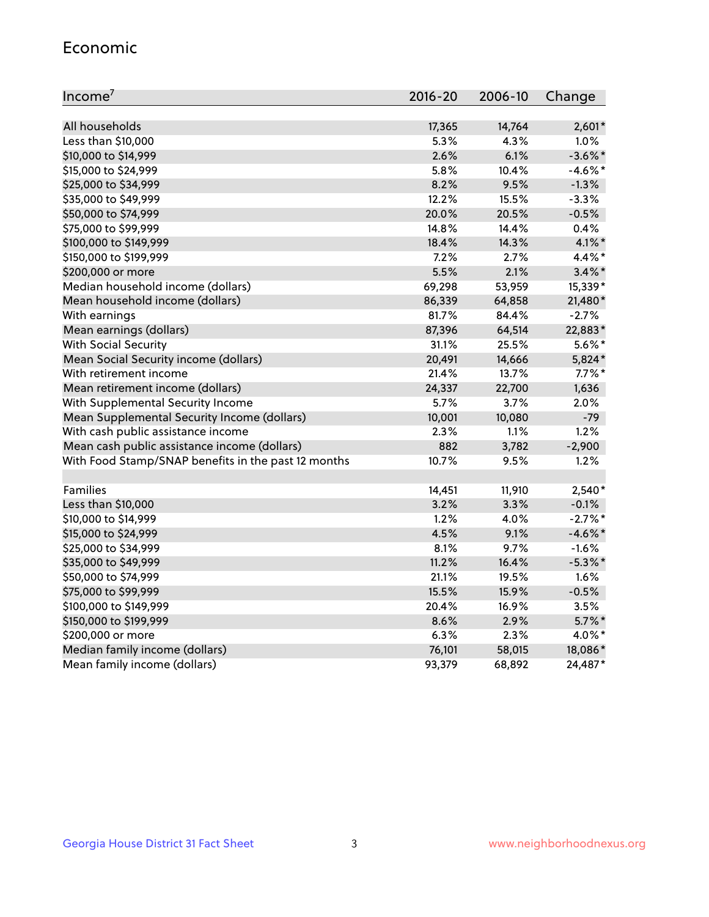#### Economic

| Income <sup>7</sup>                                 | $2016 - 20$ | 2006-10 | Change     |
|-----------------------------------------------------|-------------|---------|------------|
|                                                     |             |         |            |
| All households                                      | 17,365      | 14,764  | $2,601*$   |
| Less than \$10,000                                  | 5.3%        | 4.3%    | 1.0%       |
| \$10,000 to \$14,999                                | 2.6%        | 6.1%    | $-3.6\%$ * |
| \$15,000 to \$24,999                                | 5.8%        | 10.4%   | $-4.6\%$ * |
| \$25,000 to \$34,999                                | 8.2%        | 9.5%    | $-1.3%$    |
| \$35,000 to \$49,999                                | 12.2%       | 15.5%   | $-3.3%$    |
| \$50,000 to \$74,999                                | 20.0%       | 20.5%   | $-0.5%$    |
| \$75,000 to \$99,999                                | 14.8%       | 14.4%   | 0.4%       |
| \$100,000 to \$149,999                              | 18.4%       | 14.3%   | $4.1\%$ *  |
| \$150,000 to \$199,999                              | 7.2%        | 2.7%    | $4.4\%$ *  |
| \$200,000 or more                                   | 5.5%        | 2.1%    | $3.4\%$ *  |
| Median household income (dollars)                   | 69,298      | 53,959  | 15,339*    |
| Mean household income (dollars)                     | 86,339      | 64,858  | 21,480*    |
| With earnings                                       | 81.7%       | 84.4%   | $-2.7%$    |
| Mean earnings (dollars)                             | 87,396      | 64,514  | 22,883*    |
| <b>With Social Security</b>                         | 31.1%       | 25.5%   | $5.6\%$ *  |
| Mean Social Security income (dollars)               | 20,491      | 14,666  | 5,824*     |
| With retirement income                              | 21.4%       | 13.7%   | $7.7\%$ *  |
| Mean retirement income (dollars)                    | 24,337      | 22,700  | 1,636      |
| With Supplemental Security Income                   | 5.7%        | 3.7%    | 2.0%       |
| Mean Supplemental Security Income (dollars)         | 10,001      | 10,080  | $-79$      |
| With cash public assistance income                  | 2.3%        | 1.1%    | 1.2%       |
| Mean cash public assistance income (dollars)        | 882         | 3,782   | $-2,900$   |
| With Food Stamp/SNAP benefits in the past 12 months | 10.7%       | 9.5%    | 1.2%       |
|                                                     |             |         |            |
| Families                                            | 14,451      | 11,910  | $2,540*$   |
| Less than \$10,000                                  | $3.2\%$     | 3.3%    | $-0.1%$    |
| \$10,000 to \$14,999                                | 1.2%        | 4.0%    | $-2.7%$ *  |
| \$15,000 to \$24,999                                | 4.5%        | 9.1%    | $-4.6\%$ * |
| \$25,000 to \$34,999                                | 8.1%        | 9.7%    | $-1.6%$    |
| \$35,000 to \$49,999                                | 11.2%       | 16.4%   | $-5.3\%$ * |
| \$50,000 to \$74,999                                | 21.1%       | 19.5%   | 1.6%       |
| \$75,000 to \$99,999                                | 15.5%       | 15.9%   | $-0.5%$    |
| \$100,000 to \$149,999                              | 20.4%       | 16.9%   | 3.5%       |
| \$150,000 to \$199,999                              | 8.6%        | 2.9%    | $5.7\%$ *  |
| \$200,000 or more                                   | 6.3%        | 2.3%    | 4.0%*      |
| Median family income (dollars)                      | 76,101      | 58,015  | 18,086*    |
| Mean family income (dollars)                        | 93,379      | 68,892  | 24,487*    |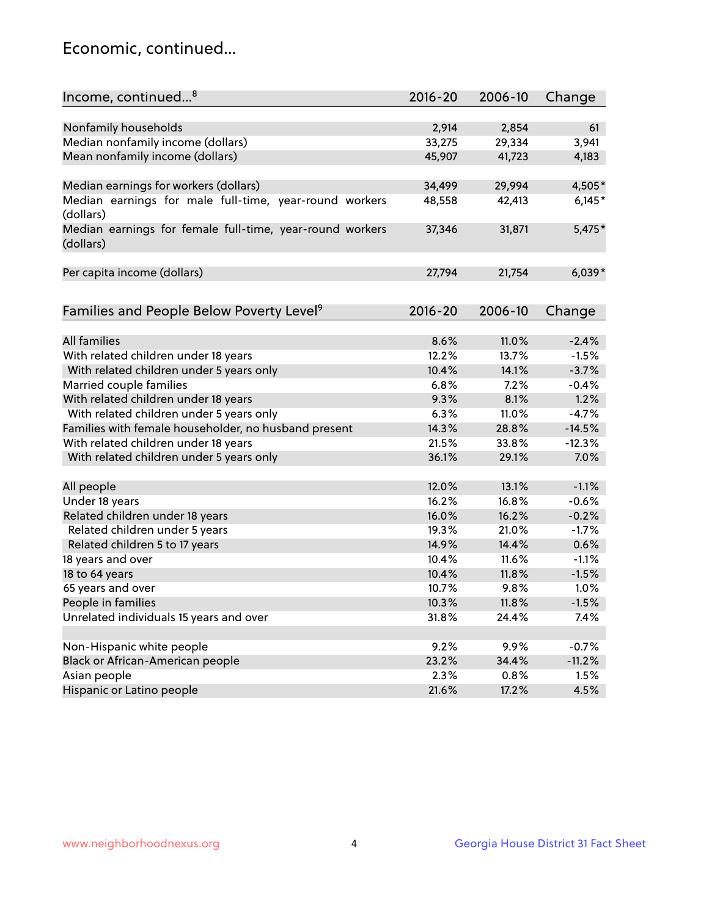## Economic, continued...

| Income, continued <sup>8</sup>                           | $2016 - 20$ | 2006-10 | Change   |
|----------------------------------------------------------|-------------|---------|----------|
|                                                          |             |         |          |
| Nonfamily households                                     | 2,914       | 2,854   | 61       |
| Median nonfamily income (dollars)                        | 33,275      | 29,334  | 3,941    |
| Mean nonfamily income (dollars)                          | 45,907      | 41,723  | 4,183    |
|                                                          |             |         |          |
| Median earnings for workers (dollars)                    | 34,499      | 29,994  | 4,505*   |
| Median earnings for male full-time, year-round workers   | 48,558      | 42,413  | $6,145*$ |
| (dollars)                                                |             |         |          |
| Median earnings for female full-time, year-round workers | 37,346      | 31,871  | $5,475*$ |
| (dollars)                                                |             |         |          |
|                                                          |             |         |          |
| Per capita income (dollars)                              | 27,794      | 21,754  | $6,039*$ |
|                                                          |             |         |          |
| Families and People Below Poverty Level <sup>9</sup>     | $2016 - 20$ | 2006-10 | Change   |
|                                                          |             |         |          |
| All families                                             | 8.6%        | 11.0%   | $-2.4%$  |
| With related children under 18 years                     | 12.2%       | 13.7%   | $-1.5%$  |
| With related children under 5 years only                 | 10.4%       | 14.1%   | $-3.7%$  |
| Married couple families                                  | 6.8%        | 7.2%    | $-0.4%$  |
| With related children under 18 years                     | 9.3%        | 8.1%    | 1.2%     |
| With related children under 5 years only                 | 6.3%        | 11.0%   | $-4.7%$  |
| Families with female householder, no husband present     | 14.3%       | 28.8%   | $-14.5%$ |
| With related children under 18 years                     | 21.5%       | 33.8%   | $-12.3%$ |
| With related children under 5 years only                 | 36.1%       | 29.1%   | 7.0%     |
|                                                          |             |         |          |
| All people                                               | 12.0%       | 13.1%   | $-1.1%$  |
| Under 18 years                                           | 16.2%       | 16.8%   | $-0.6%$  |
| Related children under 18 years                          | 16.0%       | 16.2%   | $-0.2%$  |
| Related children under 5 years                           | 19.3%       | 21.0%   | $-1.7%$  |
| Related children 5 to 17 years                           | 14.9%       | 14.4%   | 0.6%     |
| 18 years and over                                        | 10.4%       | 11.6%   | $-1.1%$  |
| 18 to 64 years                                           | 10.4%       | 11.8%   | $-1.5%$  |
| 65 years and over                                        | 10.7%       | 9.8%    | 1.0%     |
| People in families                                       | 10.3%       | 11.8%   | $-1.5%$  |
| Unrelated individuals 15 years and over                  | 31.8%       | 24.4%   | 7.4%     |
|                                                          |             |         |          |
| Non-Hispanic white people                                | 9.2%        | 9.9%    | $-0.7%$  |
| Black or African-American people                         | 23.2%       | 34.4%   | $-11.2%$ |
| Asian people                                             | $2.3\%$     | 0.8%    | 1.5%     |
| Hispanic or Latino people                                | 21.6%       | 17.2%   | 4.5%     |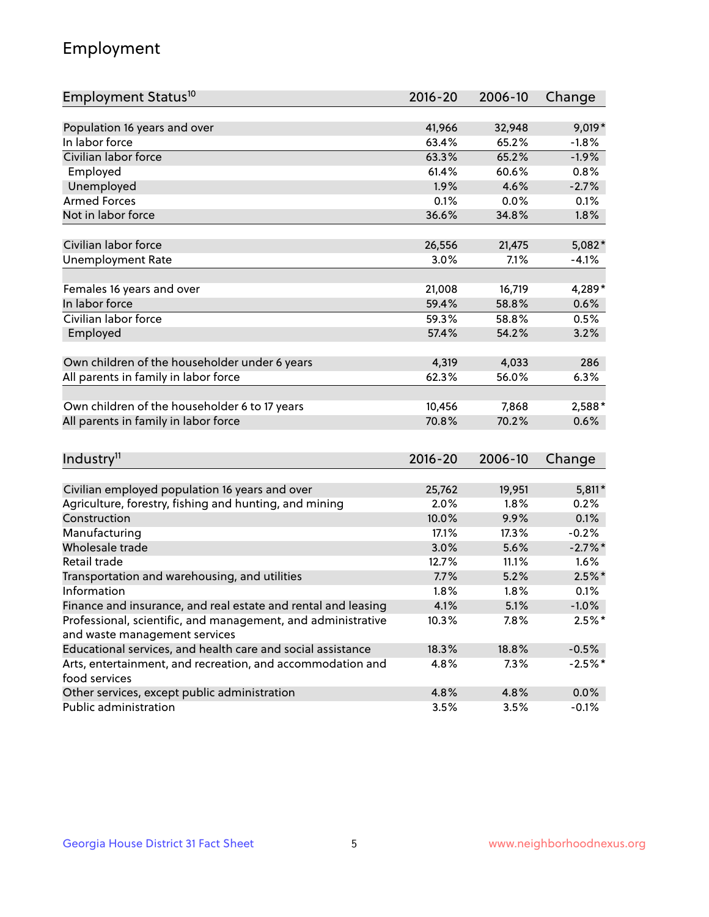## Employment

| Employment Status <sup>10</sup>                               | $2016 - 20$ | 2006-10 | Change     |
|---------------------------------------------------------------|-------------|---------|------------|
|                                                               |             |         |            |
| Population 16 years and over                                  | 41,966      | 32,948  | $9,019*$   |
| In labor force                                                | 63.4%       | 65.2%   | $-1.8%$    |
| Civilian labor force                                          | 63.3%       | 65.2%   | $-1.9%$    |
| Employed                                                      | 61.4%       | 60.6%   | 0.8%       |
| Unemployed                                                    | 1.9%        | 4.6%    | $-2.7%$    |
| <b>Armed Forces</b>                                           | 0.1%        | 0.0%    | 0.1%       |
| Not in labor force                                            | 36.6%       | 34.8%   | 1.8%       |
| Civilian labor force                                          |             |         | 5,082*     |
|                                                               | 26,556      | 21,475  |            |
| <b>Unemployment Rate</b>                                      | 3.0%        | 7.1%    | $-4.1%$    |
| Females 16 years and over                                     | 21,008      | 16,719  | 4,289*     |
| In labor force                                                | 59.4%       | 58.8%   | 0.6%       |
| Civilian labor force                                          | 59.3%       | 58.8%   | 0.5%       |
| Employed                                                      | 57.4%       | 54.2%   | 3.2%       |
|                                                               |             |         |            |
| Own children of the householder under 6 years                 | 4,319       | 4,033   | 286        |
| All parents in family in labor force                          | 62.3%       | 56.0%   | 6.3%       |
| Own children of the householder 6 to 17 years                 | 10,456      | 7,868   | 2,588*     |
| All parents in family in labor force                          | 70.8%       | 70.2%   | 0.6%       |
|                                                               |             |         |            |
| Industry <sup>11</sup>                                        | $2016 - 20$ | 2006-10 | Change     |
|                                                               |             |         |            |
| Civilian employed population 16 years and over                | 25,762      | 19,951  | $5,811*$   |
| Agriculture, forestry, fishing and hunting, and mining        | 2.0%        | 1.8%    | 0.2%       |
| Construction                                                  | 10.0%       | 9.9%    | 0.1%       |
| Manufacturing                                                 | 17.1%       | 17.3%   | $-0.2%$    |
| Wholesale trade                                               | 3.0%        | 5.6%    | $-2.7\%$ * |
| Retail trade                                                  | 12.7%       | 11.1%   | 1.6%       |
| Transportation and warehousing, and utilities                 | 7.7%        | 5.2%    | $2.5%$ *   |
| Information                                                   | 1.8%        | 1.8%    | 0.1%       |
| Finance and insurance, and real estate and rental and leasing | 4.1%        | 5.1%    | $-1.0\%$   |
| Professional, scientific, and management, and administrative  | 10.3%       | 7.8%    | $2.5%$ *   |
| and waste management services                                 |             |         |            |
| Educational services, and health care and social assistance   | 18.3%       | 18.8%   | $-0.5%$    |
| Arts, entertainment, and recreation, and accommodation and    | 4.8%        | 7.3%    | $-2.5%$ *  |
| food services                                                 |             |         |            |
| Other services, except public administration                  | 4.8%        | 4.8%    | 0.0%       |
| Public administration                                         | 3.5%        | 3.5%    | $-0.1%$    |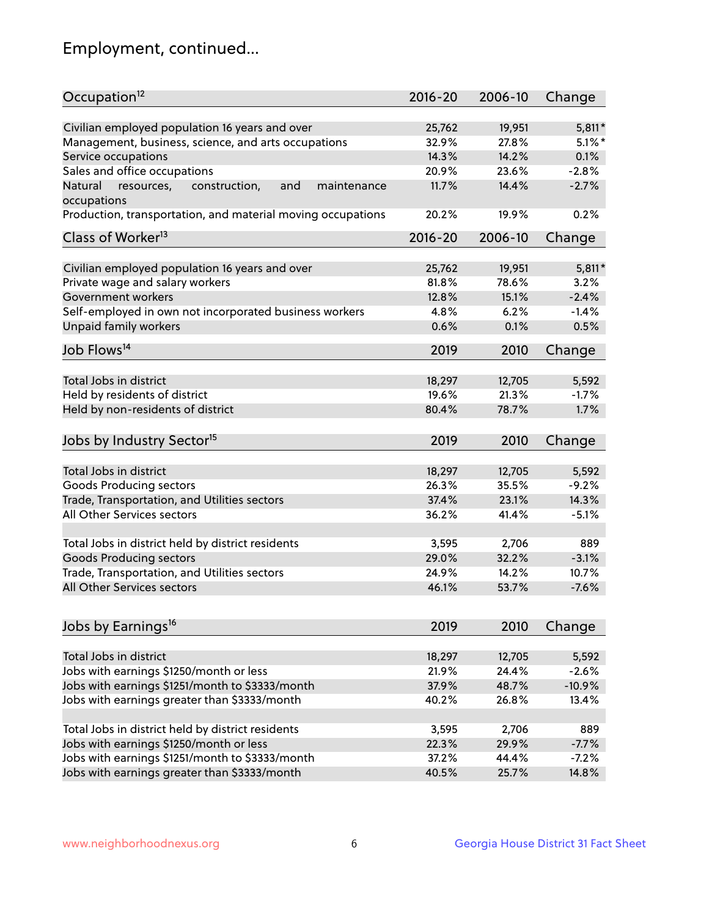## Employment, continued...

| Occupation <sup>12</sup>                                     | $2016 - 20$ | 2006-10 | Change    |
|--------------------------------------------------------------|-------------|---------|-----------|
| Civilian employed population 16 years and over               | 25,762      | 19,951  | $5,811*$  |
| Management, business, science, and arts occupations          | 32.9%       | 27.8%   | $5.1\%$ * |
| Service occupations                                          | 14.3%       | 14.2%   | 0.1%      |
| Sales and office occupations                                 | 20.9%       | 23.6%   | $-2.8%$   |
| Natural<br>resources,<br>and<br>construction,<br>maintenance | 11.7%       | 14.4%   | $-2.7%$   |
| occupations                                                  |             |         |           |
| Production, transportation, and material moving occupations  | 20.2%       | 19.9%   | 0.2%      |
| Class of Worker <sup>13</sup>                                | $2016 - 20$ | 2006-10 | Change    |
| Civilian employed population 16 years and over               | 25,762      | 19,951  | $5,811*$  |
| Private wage and salary workers                              | 81.8%       | 78.6%   | 3.2%      |
| Government workers                                           | 12.8%       | 15.1%   | $-2.4%$   |
| Self-employed in own not incorporated business workers       | 4.8%        | 6.2%    | $-1.4%$   |
| Unpaid family workers                                        | 0.6%        | 0.1%    | 0.5%      |
| Job Flows <sup>14</sup>                                      | 2019        | 2010    | Change    |
| Total Jobs in district                                       |             |         |           |
|                                                              | 18,297      | 12,705  | 5,592     |
| Held by residents of district                                | 19.6%       | 21.3%   | $-1.7%$   |
| Held by non-residents of district                            | 80.4%       | 78.7%   | 1.7%      |
| Jobs by Industry Sector <sup>15</sup>                        | 2019        | 2010    | Change    |
| Total Jobs in district                                       | 18,297      | 12,705  | 5,592     |
| Goods Producing sectors                                      | 26.3%       | 35.5%   | $-9.2%$   |
| Trade, Transportation, and Utilities sectors                 | 37.4%       | 23.1%   | 14.3%     |
| All Other Services sectors                                   | 36.2%       | 41.4%   | $-5.1%$   |
|                                                              |             |         |           |
| Total Jobs in district held by district residents            | 3,595       | 2,706   | 889       |
| <b>Goods Producing sectors</b>                               | 29.0%       | 32.2%   | $-3.1%$   |
| Trade, Transportation, and Utilities sectors                 | 24.9%       | 14.2%   | 10.7%     |
| All Other Services sectors                                   | 46.1%       | 53.7%   | $-7.6%$   |
|                                                              |             |         |           |
| Jobs by Earnings <sup>16</sup>                               | 2019        | 2010    | Change    |
| Total Jobs in district                                       | 18,297      | 12,705  | 5,592     |
| Jobs with earnings \$1250/month or less                      | 21.9%       | 24.4%   | $-2.6%$   |
| Jobs with earnings \$1251/month to \$3333/month              | 37.9%       | 48.7%   | $-10.9%$  |
| Jobs with earnings greater than \$3333/month                 | 40.2%       | 26.8%   | 13.4%     |
|                                                              |             |         |           |
| Total Jobs in district held by district residents            | 3,595       | 2,706   | 889       |
| Jobs with earnings \$1250/month or less                      | 22.3%       | 29.9%   | $-7.7%$   |
| Jobs with earnings \$1251/month to \$3333/month              | 37.2%       | 44.4%   | $-7.2%$   |
| Jobs with earnings greater than \$3333/month                 | 40.5%       | 25.7%   | 14.8%     |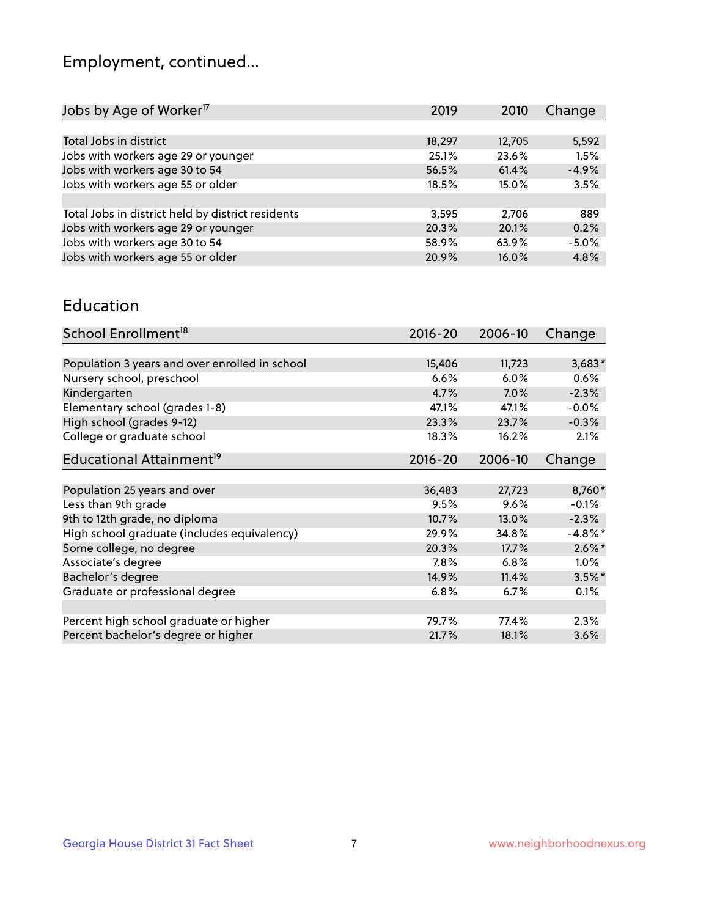## Employment, continued...

| Jobs by Age of Worker <sup>17</sup>               | 2019   | 2010   | Change  |
|---------------------------------------------------|--------|--------|---------|
|                                                   |        |        |         |
| Total Jobs in district                            | 18,297 | 12,705 | 5,592   |
| Jobs with workers age 29 or younger               | 25.1%  | 23.6%  | 1.5%    |
| Jobs with workers age 30 to 54                    | 56.5%  | 61.4%  | $-4.9%$ |
| Jobs with workers age 55 or older                 | 18.5%  | 15.0%  | 3.5%    |
|                                                   |        |        |         |
| Total Jobs in district held by district residents | 3,595  | 2,706  | 889     |
| Jobs with workers age 29 or younger               | 20.3%  | 20.1%  | 0.2%    |
| Jobs with workers age 30 to 54                    | 58.9%  | 63.9%  | $-5.0%$ |
| Jobs with workers age 55 or older                 | 20.9%  | 16.0%  | 4.8%    |
|                                                   |        |        |         |

#### Education

| School Enrollment <sup>18</sup>                | $2016 - 20$ | 2006-10 | Change     |
|------------------------------------------------|-------------|---------|------------|
|                                                |             |         |            |
| Population 3 years and over enrolled in school | 15,406      | 11,723  | $3,683*$   |
| Nursery school, preschool                      | 6.6%        | $6.0\%$ | $0.6\%$    |
| Kindergarten                                   | 4.7%        | $7.0\%$ | $-2.3%$    |
| Elementary school (grades 1-8)                 | 47.1%       | 47.1%   | $-0.0%$    |
| High school (grades 9-12)                      | 23.3%       | 23.7%   | $-0.3%$    |
| College or graduate school                     | 18.3%       | 16.2%   | 2.1%       |
| Educational Attainment <sup>19</sup>           | $2016 - 20$ | 2006-10 | Change     |
|                                                |             |         |            |
| Population 25 years and over                   | 36,483      | 27,723  | 8,760*     |
| Less than 9th grade                            | 9.5%        | 9.6%    | $-0.1%$    |
| 9th to 12th grade, no diploma                  | 10.7%       | 13.0%   | $-2.3%$    |
| High school graduate (includes equivalency)    | 29.9%       | 34.8%   | $-4.8\%$ * |
| Some college, no degree                        | 20.3%       | 17.7%   | $2.6\%$ *  |
| Associate's degree                             | 7.8%        | 6.8%    | $1.0\%$    |
| Bachelor's degree                              | 14.9%       | 11.4%   | $3.5\%$ *  |
| Graduate or professional degree                | 6.8%        | 6.7%    | 0.1%       |
|                                                |             |         |            |
| Percent high school graduate or higher         | 79.7%       | 77.4%   | 2.3%       |
| Percent bachelor's degree or higher            | 21.7%       | 18.1%   | 3.6%       |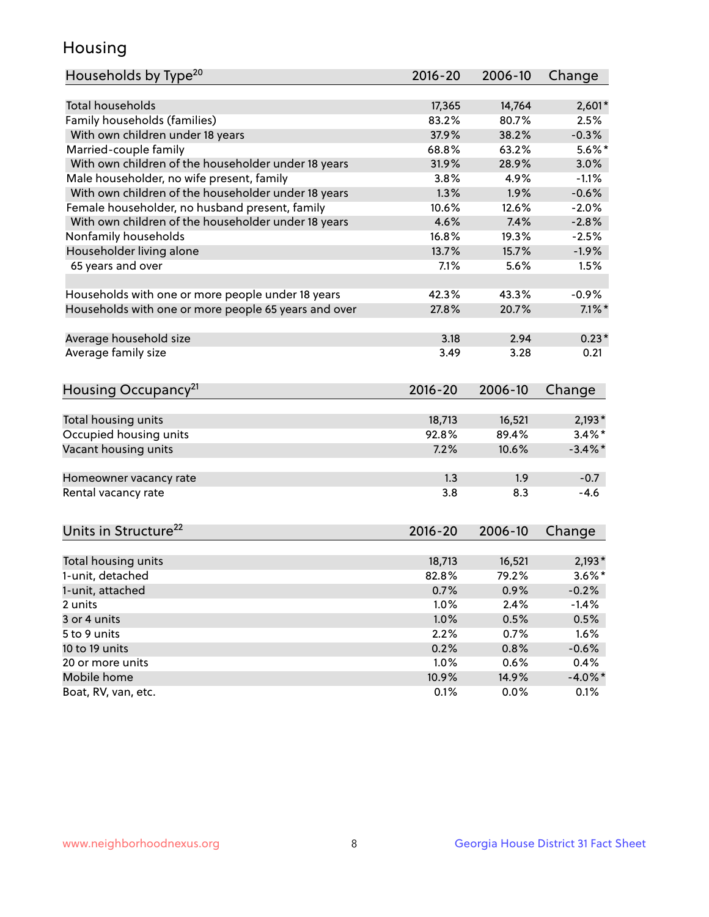## Housing

| Households by Type <sup>20</sup>                     | 2016-20     | 2006-10 | Change     |
|------------------------------------------------------|-------------|---------|------------|
|                                                      |             |         |            |
| <b>Total households</b>                              | 17,365      | 14,764  | $2,601*$   |
| Family households (families)                         | 83.2%       | 80.7%   | 2.5%       |
| With own children under 18 years                     | 37.9%       | 38.2%   | $-0.3%$    |
| Married-couple family                                | 68.8%       | 63.2%   | $5.6\%$ *  |
| With own children of the householder under 18 years  | 31.9%       | 28.9%   | 3.0%       |
| Male householder, no wife present, family            | 3.8%        | 4.9%    | $-1.1%$    |
| With own children of the householder under 18 years  | 1.3%        | 1.9%    | $-0.6%$    |
| Female householder, no husband present, family       | 10.6%       | 12.6%   | $-2.0%$    |
| With own children of the householder under 18 years  | 4.6%        | 7.4%    | $-2.8%$    |
| Nonfamily households                                 | 16.8%       | 19.3%   | $-2.5%$    |
| Householder living alone                             | 13.7%       | 15.7%   | $-1.9%$    |
| 65 years and over                                    | 7.1%        | 5.6%    | 1.5%       |
|                                                      |             |         |            |
| Households with one or more people under 18 years    | 42.3%       | 43.3%   | $-0.9%$    |
| Households with one or more people 65 years and over | 27.8%       | 20.7%   | $7.1\%$ *  |
|                                                      |             |         |            |
| Average household size                               | 3.18        | 2.94    | $0.23*$    |
| Average family size                                  | 3.49        | 3.28    | 0.21       |
| Housing Occupancy <sup>21</sup>                      | 2016-20     | 2006-10 | Change     |
|                                                      |             |         |            |
| Total housing units                                  | 18,713      | 16,521  | $2,193*$   |
| Occupied housing units                               | 92.8%       | 89.4%   | $3.4\%$ *  |
| Vacant housing units                                 | 7.2%        | 10.6%   | $-3.4\%$ * |
|                                                      |             |         |            |
| Homeowner vacancy rate                               | 1.3         | 1.9     | $-0.7$     |
| Rental vacancy rate                                  | 3.8         | 8.3     | $-4.6$     |
|                                                      |             |         |            |
| Units in Structure <sup>22</sup>                     | $2016 - 20$ | 2006-10 | Change     |
|                                                      |             |         |            |
| Total housing units                                  | 18,713      | 16,521  | $2,193*$   |
| 1-unit, detached                                     | 82.8%       | 79.2%   | $3.6\%$ *  |
| 1-unit, attached                                     | 0.7%        | 0.9%    | $-0.2%$    |
| 2 units                                              | 1.0%        | 2.4%    | $-1.4%$    |
| 3 or 4 units                                         | 1.0%        | 0.5%    | 0.5%       |
| 5 to 9 units                                         | 2.2%        | 0.7%    | 1.6%       |
| 10 to 19 units                                       | 0.2%        | 0.8%    | $-0.6%$    |
| 20 or more units                                     | 1.0%        | 0.6%    | 0.4%       |
| Mobile home                                          | 10.9%       | 14.9%   | $-4.0\%$ * |
| Boat, RV, van, etc.                                  | 0.1%        | 0.0%    | 0.1%       |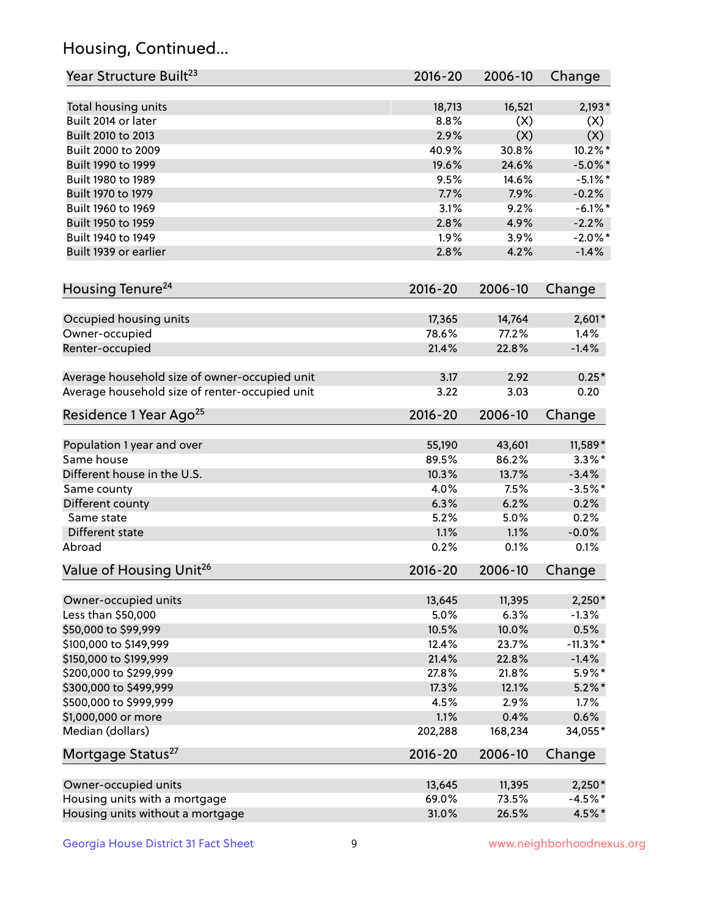## Housing, Continued...

| Year Structure Built <sup>23</sup>             | 2016-20     | 2006-10 | Change      |
|------------------------------------------------|-------------|---------|-------------|
| Total housing units                            | 18,713      | 16,521  | $2,193*$    |
| Built 2014 or later                            | 8.8%        | (X)     | (X)         |
| Built 2010 to 2013                             | 2.9%        | (X)     | (X)         |
| Built 2000 to 2009                             | 40.9%       | 30.8%   | $10.2\%$ *  |
| Built 1990 to 1999                             | 19.6%       | 24.6%   | $-5.0\%$ *  |
| Built 1980 to 1989                             | 9.5%        | 14.6%   | $-5.1\%$ *  |
| Built 1970 to 1979                             | 7.7%        | 7.9%    | $-0.2%$     |
| Built 1960 to 1969                             | 3.1%        | 9.2%    | $-6.1\%$ *  |
| Built 1950 to 1959                             | 2.8%        | 4.9%    | $-2.2%$     |
| Built 1940 to 1949                             | 1.9%        | 3.9%    | $-2.0\%$ *  |
| Built 1939 or earlier                          | 2.8%        |         | $-1.4%$     |
|                                                |             | 4.2%    |             |
| Housing Tenure <sup>24</sup>                   | $2016 - 20$ | 2006-10 | Change      |
|                                                | 17,365      | 14,764  | $2,601*$    |
| Occupied housing units<br>Owner-occupied       | 78.6%       | 77.2%   | 1.4%        |
| Renter-occupied                                | 21.4%       | 22.8%   | $-1.4%$     |
|                                                |             |         |             |
| Average household size of owner-occupied unit  | 3.17        | 2.92    | $0.25*$     |
| Average household size of renter-occupied unit | 3.22        | 3.03    | 0.20        |
| Residence 1 Year Ago <sup>25</sup>             | $2016 - 20$ | 2006-10 | Change      |
| Population 1 year and over                     | 55,190      | 43,601  | 11,589*     |
| Same house                                     | 89.5%       | 86.2%   | $3.3\%$ *   |
| Different house in the U.S.                    | 10.3%       | 13.7%   | $-3.4%$     |
| Same county                                    | 4.0%        | 7.5%    | $-3.5%$ *   |
| Different county                               | 6.3%        | 6.2%    | 0.2%        |
| Same state                                     | 5.2%        | 5.0%    | 0.2%        |
| Different state                                | 1.1%        | 1.1%    | $-0.0%$     |
| Abroad                                         | 0.2%        | 0.1%    | 0.1%        |
| Value of Housing Unit <sup>26</sup>            | $2016 - 20$ | 2006-10 | Change      |
|                                                |             |         |             |
| Owner-occupied units                           | 13,645      | 11,395  | $2,250*$    |
| Less than \$50,000                             | 5.0%        | 6.3%    | $-1.3%$     |
| \$50,000 to \$99,999                           | 10.5%       | 10.0%   | 0.5%        |
| \$100,000 to \$149,999                         | 12.4%       | 23.7%   | $-11.3\%$ * |
| \$150,000 to \$199,999                         | 21.4%       | 22.8%   | $-1.4%$     |
| \$200,000 to \$299,999                         | 27.8%       | 21.8%   | 5.9%*       |
| \$300,000 to \$499,999                         | 17.3%       | 12.1%   | $5.2\%$ *   |
| \$500,000 to \$999,999                         | 4.5%        | 2.9%    | 1.7%        |
| \$1,000,000 or more                            | 1.1%        | 0.4%    | 0.6%        |
| Median (dollars)                               | 202,288     | 168,234 | 34,055*     |
| Mortgage Status <sup>27</sup>                  | $2016 - 20$ | 2006-10 | Change      |
| Owner-occupied units                           | 13,645      | 11,395  | $2,250*$    |
| Housing units with a mortgage                  | 69.0%       | 73.5%   | $-4.5%$ *   |
| Housing units without a mortgage               | 31.0%       | 26.5%   | 4.5%*       |
|                                                |             |         |             |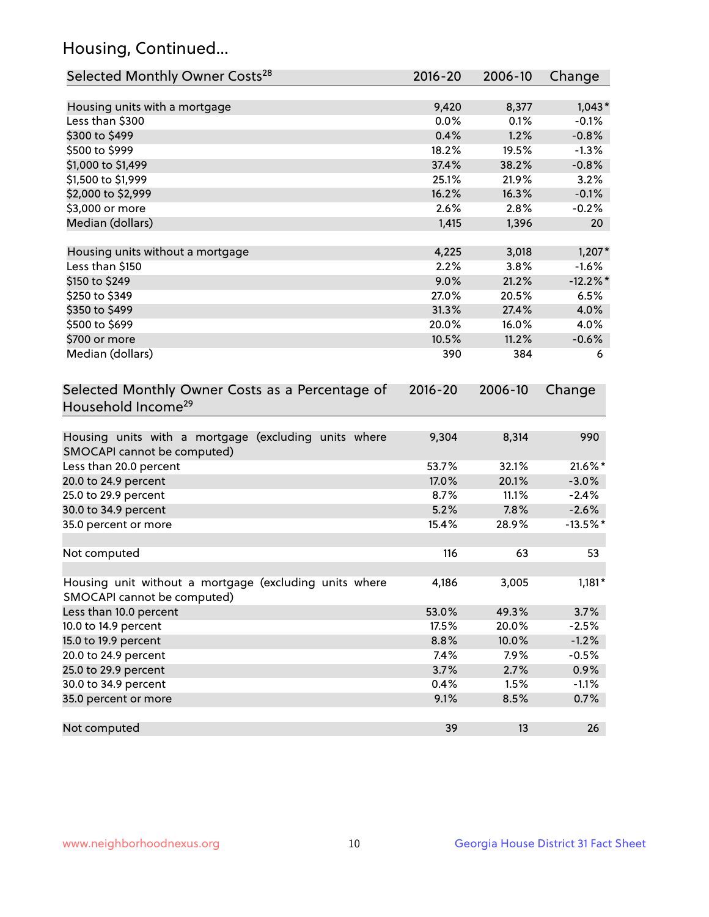## Housing, Continued...

| Selected Monthly Owner Costs <sup>28</sup>                                            | 2016-20 | 2006-10 | Change      |
|---------------------------------------------------------------------------------------|---------|---------|-------------|
| Housing units with a mortgage                                                         | 9,420   | 8,377   | $1,043*$    |
| Less than \$300                                                                       | 0.0%    | 0.1%    | $-0.1%$     |
| \$300 to \$499                                                                        | 0.4%    | 1.2%    | $-0.8%$     |
| \$500 to \$999                                                                        | 18.2%   | 19.5%   | $-1.3%$     |
| \$1,000 to \$1,499                                                                    | 37.4%   | 38.2%   | $-0.8%$     |
| \$1,500 to \$1,999                                                                    | 25.1%   | 21.9%   | 3.2%        |
| \$2,000 to \$2,999                                                                    | 16.2%   | 16.3%   | $-0.1%$     |
| \$3,000 or more                                                                       | 2.6%    | 2.8%    | $-0.2%$     |
| Median (dollars)                                                                      | 1,415   | 1,396   | 20          |
|                                                                                       |         |         |             |
| Housing units without a mortgage                                                      | 4,225   | 3,018   | $1,207*$    |
| Less than \$150                                                                       | 2.2%    | 3.8%    | $-1.6%$     |
| \$150 to \$249                                                                        | 9.0%    | 21.2%   | $-12.2\%$ * |
| \$250 to \$349                                                                        | 27.0%   | 20.5%   | 6.5%        |
| \$350 to \$499                                                                        | 31.3%   | 27.4%   | 4.0%        |
| \$500 to \$699                                                                        | 20.0%   | 16.0%   | 4.0%        |
| \$700 or more                                                                         | 10.5%   | 11.2%   | $-0.6%$     |
| Median (dollars)                                                                      | 390     | 384     | 6           |
| Selected Monthly Owner Costs as a Percentage of<br>Household Income <sup>29</sup>     |         | 2006-10 | Change      |
| Housing units with a mortgage (excluding units where<br>SMOCAPI cannot be computed)   | 9,304   | 8,314   | 990         |
| Less than 20.0 percent                                                                | 53.7%   | 32.1%   | 21.6%*      |
| 20.0 to 24.9 percent                                                                  | 17.0%   | 20.1%   | $-3.0\%$    |
| 25.0 to 29.9 percent                                                                  | 8.7%    | 11.1%   | $-2.4%$     |
| 30.0 to 34.9 percent                                                                  | 5.2%    | 7.8%    | $-2.6%$     |
| 35.0 percent or more                                                                  | 15.4%   | 28.9%   | $-13.5%$ *  |
| Not computed                                                                          | 116     | 63      | 53          |
| Housing unit without a mortgage (excluding units where<br>SMOCAPI cannot be computed) | 4,186   | 3,005   | $1,181*$    |
| Less than 10.0 percent                                                                | 53.0%   | 49.3%   | 3.7%        |
| 10.0 to 14.9 percent                                                                  | 17.5%   | 20.0%   | $-2.5%$     |
| 15.0 to 19.9 percent                                                                  | 8.8%    | 10.0%   | $-1.2%$     |
| 20.0 to 24.9 percent                                                                  | 7.4%    | 7.9%    | $-0.5%$     |
| 25.0 to 29.9 percent                                                                  | 3.7%    | 2.7%    | 0.9%        |
| 30.0 to 34.9 percent                                                                  | 0.4%    | 1.5%    | $-1.1%$     |
| 35.0 percent or more                                                                  | 9.1%    | 8.5%    | 0.7%        |
| Not computed                                                                          | 39      | 13      | 26          |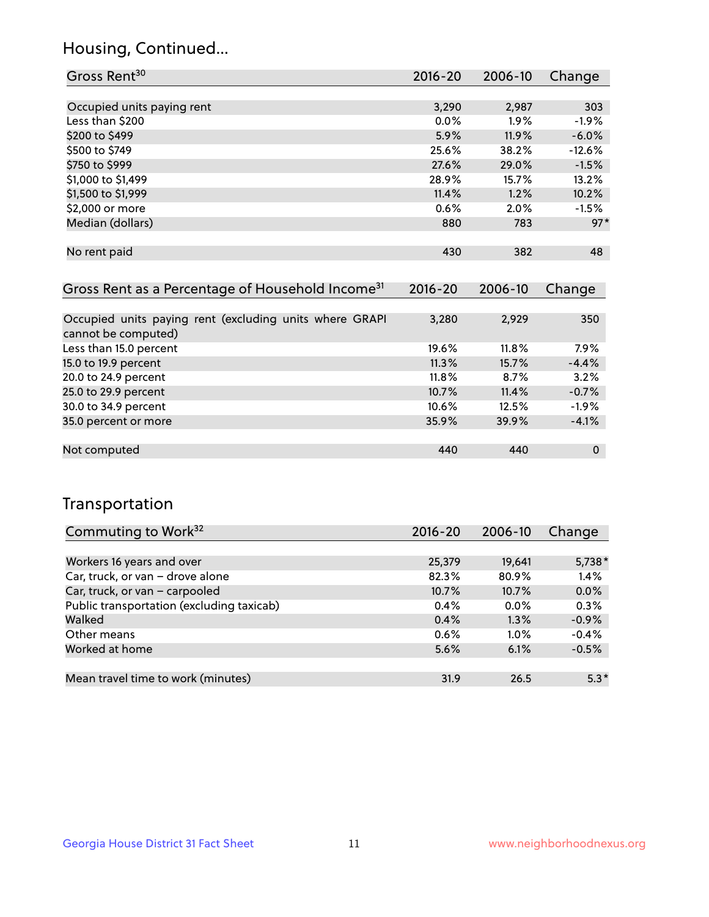## Housing, Continued...

| Gross Rent <sup>30</sup>   | $2016 - 20$ | 2006-10 | Change   |
|----------------------------|-------------|---------|----------|
|                            |             |         |          |
| Occupied units paying rent | 3,290       | 2,987   | 303      |
| Less than \$200            | $0.0\%$     | $1.9\%$ | $-1.9%$  |
| \$200 to \$499             | 5.9%        | 11.9%   | $-6.0%$  |
| \$500 to \$749             | 25.6%       | 38.2%   | $-12.6%$ |
| \$750 to \$999             | 27.6%       | 29.0%   | $-1.5%$  |
| \$1,000 to \$1,499         | 28.9%       | 15.7%   | 13.2%    |
| \$1,500 to \$1,999         | 11.4%       | 1.2%    | 10.2%    |
| \$2,000 or more            | 0.6%        | 2.0%    | $-1.5%$  |
| Median (dollars)           | 880         | 783     | $97*$    |
|                            |             |         |          |
| No rent paid               | 430         | 382     | 48       |
|                            |             |         |          |

| Gross Rent as a Percentage of Household Income <sup>31</sup>                   | $2016 - 20$ | 2006-10  | Change  |
|--------------------------------------------------------------------------------|-------------|----------|---------|
|                                                                                |             |          |         |
| Occupied units paying rent (excluding units where GRAPI<br>cannot be computed) | 3,280       | 2,929    | 350     |
| Less than 15.0 percent                                                         | 19.6%       | $11.8\%$ | 7.9%    |
| 15.0 to 19.9 percent                                                           | 11.3%       | 15.7%    | $-4.4%$ |
| 20.0 to 24.9 percent                                                           | 11.8%       | 8.7%     | 3.2%    |
| 25.0 to 29.9 percent                                                           | 10.7%       | 11.4%    | $-0.7%$ |
| 30.0 to 34.9 percent                                                           | 10.6%       | 12.5%    | $-1.9%$ |
| 35.0 percent or more                                                           | 35.9%       | 39.9%    | $-4.1%$ |
|                                                                                |             |          |         |
| Not computed                                                                   | 440         | 440      | 0       |

## Transportation

| Commuting to Work <sup>32</sup>           | 2016-20 | 2006-10 | Change   |
|-------------------------------------------|---------|---------|----------|
|                                           |         |         |          |
| Workers 16 years and over                 | 25,379  | 19,641  | $5,738*$ |
| Car, truck, or van - drove alone          | 82.3%   | 80.9%   | 1.4%     |
| Car, truck, or van - carpooled            | 10.7%   | 10.7%   | 0.0%     |
| Public transportation (excluding taxicab) | 0.4%    | $0.0\%$ | 0.3%     |
| Walked                                    | 0.4%    | 1.3%    | $-0.9%$  |
| Other means                               | 0.6%    | $1.0\%$ | $-0.4%$  |
| Worked at home                            | 5.6%    | 6.1%    | $-0.5%$  |
|                                           |         |         |          |
| Mean travel time to work (minutes)        | 31.9    | 26.5    | $5.3*$   |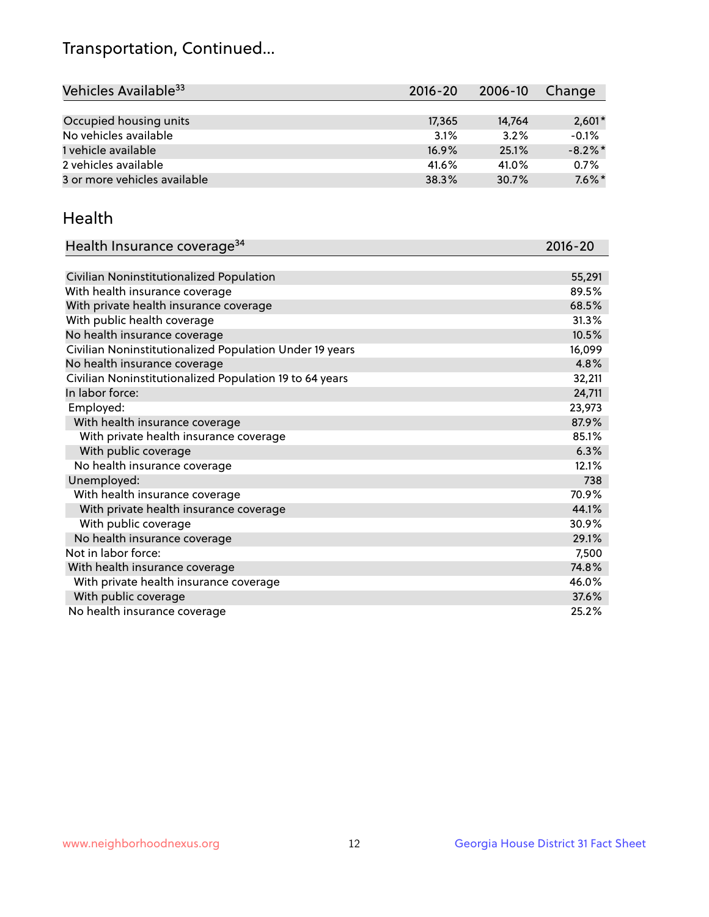## Transportation, Continued...

| Vehicles Available <sup>33</sup> | $2016 - 20$ | $2006 - 10$ | Change     |
|----------------------------------|-------------|-------------|------------|
|                                  |             |             |            |
| Occupied housing units           | 17,365      | 14.764      | $2,601*$   |
| No vehicles available            | 3.1%        | 3.2%        | $-0.1%$    |
| 1 vehicle available              | $16.9\%$    | 25.1%       | $-8.2\%$ * |
| 2 vehicles available             | 41.6%       | 41.0%       | 0.7%       |
| 3 or more vehicles available     | 38.3%       | 30.7%       | $7.6\%$ *  |

#### Health

| Health Insurance coverage <sup>34</sup>                 | 2016-20 |
|---------------------------------------------------------|---------|
|                                                         |         |
| Civilian Noninstitutionalized Population                | 55,291  |
| With health insurance coverage                          | 89.5%   |
| With private health insurance coverage                  | 68.5%   |
| With public health coverage                             | 31.3%   |
| No health insurance coverage                            | 10.5%   |
| Civilian Noninstitutionalized Population Under 19 years | 16,099  |
| No health insurance coverage                            | 4.8%    |
| Civilian Noninstitutionalized Population 19 to 64 years | 32,211  |
| In labor force:                                         | 24,711  |
| Employed:                                               | 23,973  |
| With health insurance coverage                          | 87.9%   |
| With private health insurance coverage                  | 85.1%   |
| With public coverage                                    | 6.3%    |
| No health insurance coverage                            | 12.1%   |
| Unemployed:                                             | 738     |
| With health insurance coverage                          | 70.9%   |
| With private health insurance coverage                  | 44.1%   |
| With public coverage                                    | 30.9%   |
| No health insurance coverage                            | 29.1%   |
| Not in labor force:                                     | 7,500   |
| With health insurance coverage                          | 74.8%   |
| With private health insurance coverage                  | 46.0%   |
| With public coverage                                    | 37.6%   |
| No health insurance coverage                            | 25.2%   |